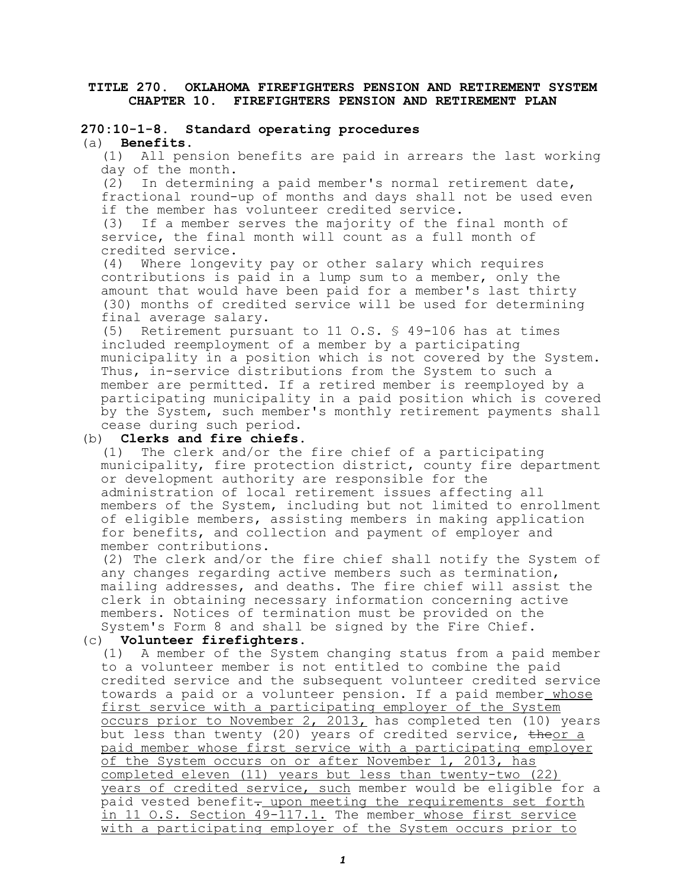## **TITLE 270. OKLAHOMA FIREFIGHTERS PENSION AND RETIREMENT SYSTEM CHAPTER 10. FIREFIGHTERS PENSION AND RETIREMENT PLAN**

# **270:10-1-8. Standard operating procedures**

(a) **Benefits.**

(1) All pension benefits are paid in arrears the last working day of the month.

(2) In determining a paid member's normal retirement date, fractional round-up of months and days shall not be used even if the member has volunteer credited service.

(3) If a member serves the majority of the final month of service, the final month will count as a full month of credited service.

(4) Where longevity pay or other salary which requires contributions is paid in a lump sum to a member, only the amount that would have been paid for a member's last thirty (30) months of credited service will be used for determining final average salary.

(5) Retirement pursuant to 11 O.S. § 49-106 has at times included reemployment of a member by a participating municipality in a position which is not covered by the System. Thus, in-service distributions from the System to such a member are permitted. If a retired member is reemployed by a participating municipality in a paid position which is covered by the System, such member's monthly retirement payments shall cease during such period.

## (b) **Clerks and fire chiefs.**

(1) The clerk and/or the fire chief of a participating municipality, fire protection district, county fire department or development authority are responsible for the administration of local retirement issues affecting all members of the System, including but not limited to enrollment of eligible members, assisting members in making application for benefits, and collection and payment of employer and member contributions.

(2) The clerk and/or the fire chief shall notify the System of any changes regarding active members such as termination, mailing addresses, and deaths. The fire chief will assist the clerk in obtaining necessary information concerning active members. Notices of termination must be provided on the System's Form 8 and shall be signed by the Fire Chief.

## (c) **Volunteer firefighters.**

(1) A member of the System changing status from a paid member to a volunteer member is not entitled to combine the paid credited service and the subsequent volunteer credited service towards a paid or a volunteer pension. If a paid member whose first service with a participating employer of the System occurs prior to November 2, 2013, has completed ten (10) years but less than twenty (20) years of credited service, theor a paid member whose first service with a participating employer of the System occurs on or after November 1, 2013, has completed eleven (11) years but less than twenty-two (22) years of credited service, such member would be eligible for a paid vested benefit- upon meeting the requirements set forth in 11 O.S. Section 49-117.1. The member whose first service with a participating employer of the System occurs prior to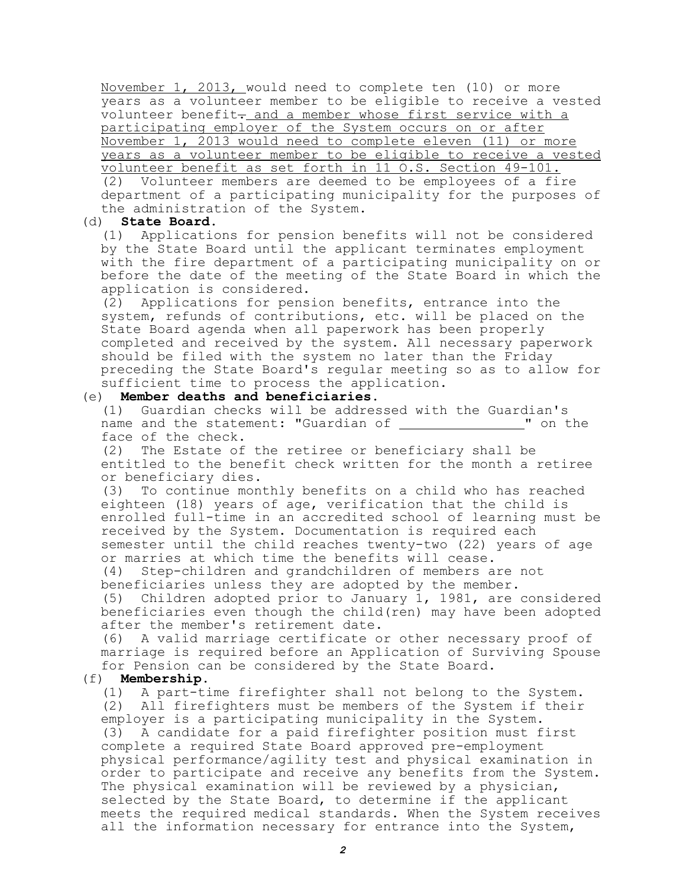November 1, 2013, would need to complete ten (10) or more years as a volunteer member to be eligible to receive a vested volunteer benefit- and a member whose first service with a participating employer of the System occurs on or after November 1, 2013 would need to complete eleven (11) or more years as a volunteer member to be eligible to receive a vested volunteer benefit as set forth in 11 O.S. Section 49-101. (2) Volunteer members are deemed to be employees of a fire department of a participating municipality for the purposes of the administration of the System.

(d) **State Board.**

(1) Applications for pension benefits will not be considered by the State Board until the applicant terminates employment with the fire department of a participating municipality on or before the date of the meeting of the State Board in which the application is considered.

(2) Applications for pension benefits, entrance into the system, refunds of contributions, etc. will be placed on the State Board agenda when all paperwork has been properly completed and received by the system. All necessary paperwork should be filed with the system no later than the Friday preceding the State Board's regular meeting so as to allow for sufficient time to process the application.

### (e) **Member deaths and beneficiaries.**

(1) Guardian checks will be addressed with the Guardian's name and the statement: "Guardian of \_\_\_\_\_\_\_\_\_\_\_\_\_\_\_\_" on the face of the check.

(2) The Estate of the retiree or beneficiary shall be entitled to the benefit check written for the month a retiree or beneficiary dies.

(3) To continue monthly benefits on a child who has reached eighteen (18) years of age, verification that the child is enrolled full-time in an accredited school of learning must be received by the System. Documentation is required each semester until the child reaches twenty-two (22) years of age or marries at which time the benefits will cease.

(4) Step-children and grandchildren of members are not beneficiaries unless they are adopted by the member.

(5) Children adopted prior to January 1, 1981, are considered beneficiaries even though the child(ren) may have been adopted after the member's retirement date.

(6) A valid marriage certificate or other necessary proof of marriage is required before an Application of Surviving Spouse for Pension can be considered by the State Board.

#### (f) **Membership.**

(1) A part-time firefighter shall not belong to the System. (2) All firefighters must be members of the System if their employer is a participating municipality in the System. (3) A candidate for a paid firefighter position must first complete a required State Board approved pre-employment physical performance/agility test and physical examination in order to participate and receive any benefits from the System. The physical examination will be reviewed by a physician, selected by the State Board, to determine if the applicant meets the required medical standards. When the System receives all the information necessary for entrance into the System,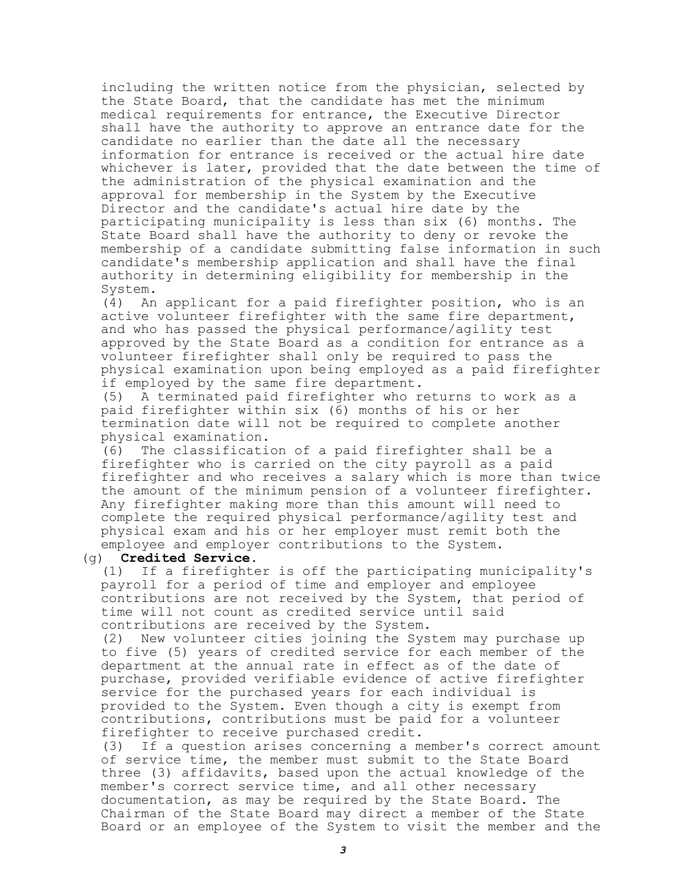including the written notice from the physician, selected by the State Board, that the candidate has met the minimum medical requirements for entrance, the Executive Director shall have the authority to approve an entrance date for the candidate no earlier than the date all the necessary information for entrance is received or the actual hire date whichever is later, provided that the date between the time of the administration of the physical examination and the approval for membership in the System by the Executive Director and the candidate's actual hire date by the participating municipality is less than six (6) months. The State Board shall have the authority to deny or revoke the membership of a candidate submitting false information in such candidate's membership application and shall have the final authority in determining eligibility for membership in the System.

(4) An applicant for a paid firefighter position, who is an active volunteer firefighter with the same fire department, and who has passed the physical performance/agility test approved by the State Board as a condition for entrance as a volunteer firefighter shall only be required to pass the physical examination upon being employed as a paid firefighter if employed by the same fire department.

(5) A terminated paid firefighter who returns to work as a paid firefighter within six (6) months of his or her termination date will not be required to complete another physical examination.

(6) The classification of a paid firefighter shall be a firefighter who is carried on the city payroll as a paid firefighter and who receives a salary which is more than twice the amount of the minimum pension of a volunteer firefighter. Any firefighter making more than this amount will need to complete the required physical performance/agility test and physical exam and his or her employer must remit both the employee and employer contributions to the System.

#### (g) **Credited Service.**

(1) If a firefighter is off the participating municipality's payroll for a period of time and employer and employee contributions are not received by the System, that period of time will not count as credited service until said contributions are received by the System.

(2) New volunteer cities joining the System may purchase up to five (5) years of credited service for each member of the department at the annual rate in effect as of the date of purchase, provided verifiable evidence of active firefighter service for the purchased years for each individual is provided to the System. Even though a city is exempt from contributions, contributions must be paid for a volunteer firefighter to receive purchased credit.

(3) If a question arises concerning a member's correct amount of service time, the member must submit to the State Board three (3) affidavits, based upon the actual knowledge of the member's correct service time, and all other necessary documentation, as may be required by the State Board. The Chairman of the State Board may direct a member of the State Board or an employee of the System to visit the member and the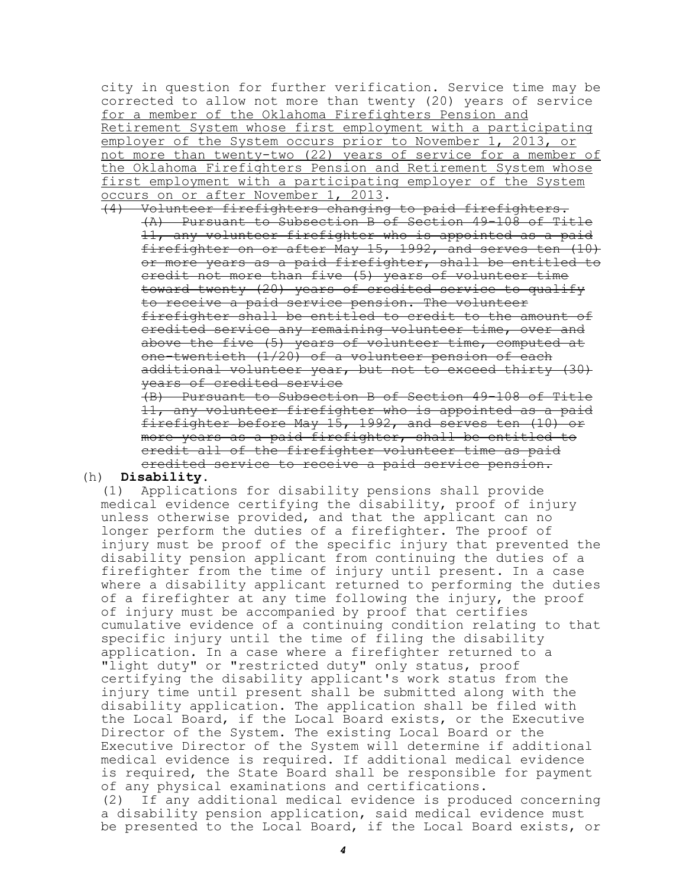city in question for further verification. Service time may be corrected to allow not more than twenty (20) years of service for a member of the Oklahoma Firefighters Pension and Retirement System whose first employment with a participating employer of the System occurs prior to November 1, 2013, or not more than twenty-two (22) years of service for a member of the Oklahoma Firefighters Pension and Retirement System whose first employment with a participating employer of the System occurs on or after November 1, 2013.

(4) Volunteer firefighters changing to paid firefighters. (A) Pursuant to Subsection B of Section 49-108 of Title 11, any volunteer firefighter who is appointed as a paid firefighter on or after May 15, 1992, and serves ten (10) or more years as a paid firefighter, shall be entitled to credit not more than five (5) years of volunteer time toward twenty (20) years of credited service to qualify to receive a paid service pension. The volunteer firefighter shall be entitled to credit to the amount of credited service any remaining volunteer time, over and above the five (5) years of volunteer time, computed at one-twentieth (1/20) of a volunteer pension of each additional volunteer year, but not to exceed thirty (30) years of credited service

(B) Pursuant to Subsection B of Section 49-108 of Title 11, any volunteer firefighter who is appointed as a paid firefighter before May 15, 1992, and serves ten (10) or more years as a paid firefighter, shall be entitled to credit all of the firefighter volunteer time as paid credited service to receive a paid service pension.

#### (h) **Disability.**

(1) Applications for disability pensions shall provide medical evidence certifying the disability, proof of injury unless otherwise provided, and that the applicant can no longer perform the duties of a firefighter. The proof of injury must be proof of the specific injury that prevented the disability pension applicant from continuing the duties of a firefighter from the time of injury until present. In a case where a disability applicant returned to performing the duties of a firefighter at any time following the injury, the proof of injury must be accompanied by proof that certifies cumulative evidence of a continuing condition relating to that specific injury until the time of filing the disability application. In a case where a firefighter returned to a "light duty" or "restricted duty" only status, proof certifying the disability applicant's work status from the injury time until present shall be submitted along with the disability application. The application shall be filed with the Local Board, if the Local Board exists, or the Executive Director of the System. The existing Local Board or the Executive Director of the System will determine if additional medical evidence is required. If additional medical evidence is required, the State Board shall be responsible for payment of any physical examinations and certifications. (2) If any additional medical evidence is produced concerning a disability pension application, said medical evidence must be presented to the Local Board, if the Local Board exists, or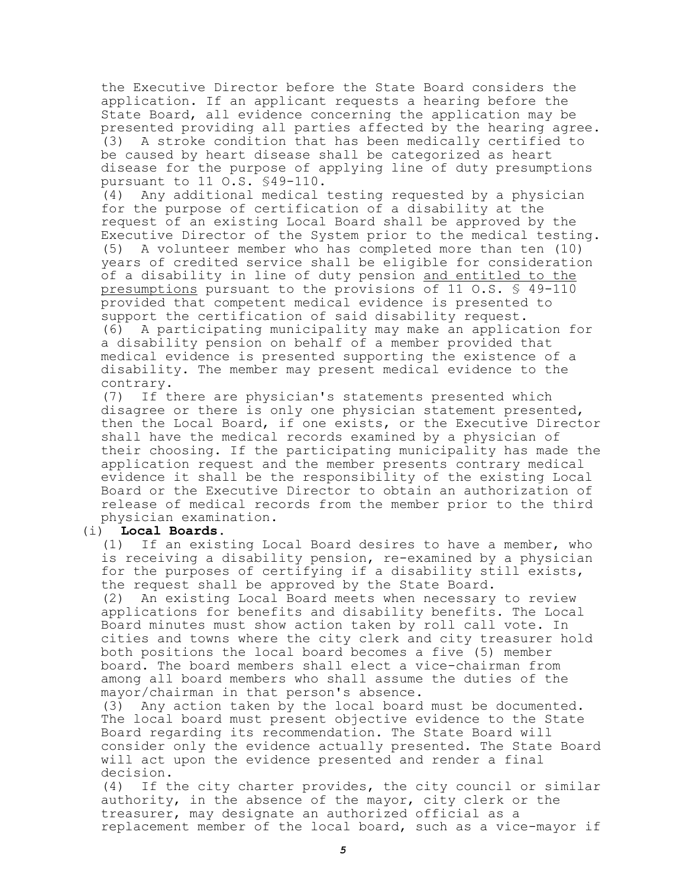the Executive Director before the State Board considers the application. If an applicant requests a hearing before the State Board, all evidence concerning the application may be presented providing all parties affected by the hearing agree. (3) A stroke condition that has been medically certified to be caused by heart disease shall be categorized as heart disease for the purpose of applying line of duty presumptions pursuant to 11 O.S. §49-110.

(4) Any additional medical testing requested by a physician for the purpose of certification of a disability at the request of an existing Local Board shall be approved by the Executive Director of the System prior to the medical testing. (5) A volunteer member who has completed more than ten (10) years of credited service shall be eligible for consideration of a disability in line of duty pension and entitled to the presumptions pursuant to the provisions of 11 O.S. § 49-110 provided that competent medical evidence is presented to support the certification of said disability request. (6) A participating municipality may make an application for a disability pension on behalf of a member provided that medical evidence is presented supporting the existence of a disability. The member may present medical evidence to the contrary.

(7) If there are physician's statements presented which disagree or there is only one physician statement presented, then the Local Board, if one exists, or the Executive Director shall have the medical records examined by a physician of their choosing. If the participating municipality has made the application request and the member presents contrary medical evidence it shall be the responsibility of the existing Local Board or the Executive Director to obtain an authorization of release of medical records from the member prior to the third physician examination.

## (i) **Local Boards.**

(1) If an existing Local Board desires to have a member, who is receiving a disability pension, re-examined by a physician for the purposes of certifying if a disability still exists, the request shall be approved by the State Board. (2) An existing Local Board meets when necessary to review applications for benefits and disability benefits. The Local Board minutes must show action taken by roll call vote. In cities and towns where the city clerk and city treasurer hold both positions the local board becomes a five (5) member board. The board members shall elect a vice-chairman from among all board members who shall assume the duties of the mayor/chairman in that person's absence.

(3) Any action taken by the local board must be documented. The local board must present objective evidence to the State Board regarding its recommendation. The State Board will consider only the evidence actually presented. The State Board will act upon the evidence presented and render a final decision.

(4) If the city charter provides, the city council or similar authority, in the absence of the mayor, city clerk or the treasurer, may designate an authorized official as a replacement member of the local board, such as a vice-mayor if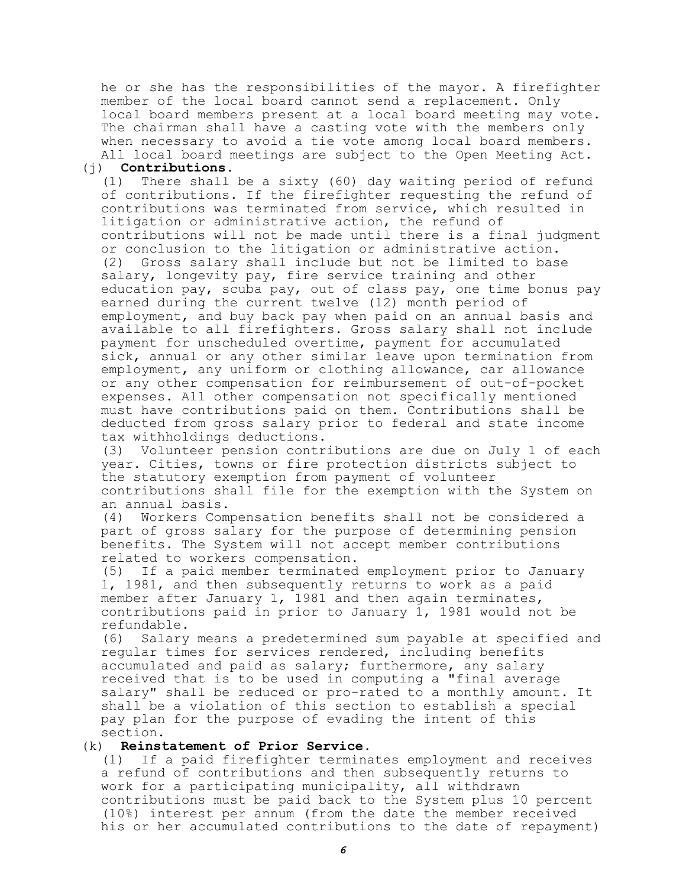he or she has the responsibilities of the mayor. A firefighter member of the local board cannot send a replacement. Only local board members present at a local board meeting may vote. The chairman shall have a casting vote with the members only when necessary to avoid a tie vote among local board members. All local board meetings are subject to the Open Meeting Act.

## (j) **Contributions.**

(1) There shall be a sixty (60) day waiting period of refund of contributions. If the firefighter requesting the refund of contributions was terminated from service, which resulted in litigation or administrative action, the refund of contributions will not be made until there is a final judgment or conclusion to the litigation or administrative action. (2) Gross salary shall include but not be limited to base salary, longevity pay, fire service training and other education pay, scuba pay, out of class pay, one time bonus pay earned during the current twelve (12) month period of employment, and buy back pay when paid on an annual basis and available to all firefighters. Gross salary shall not include payment for unscheduled overtime, payment for accumulated sick, annual or any other similar leave upon termination from employment, any uniform or clothing allowance, car allowance or any other compensation for reimbursement of out-of-pocket expenses. All other compensation not specifically mentioned must have contributions paid on them. Contributions shall be deducted from gross salary prior to federal and state income tax withholdings deductions.

(3) Volunteer pension contributions are due on July 1 of each year. Cities, towns or fire protection districts subject to the statutory exemption from payment of volunteer contributions shall file for the exemption with the System on an annual basis.

(4) Workers Compensation benefits shall not be considered a part of gross salary for the purpose of determining pension benefits. The System will not accept member contributions related to workers compensation.

(5) If a paid member terminated employment prior to January 1, 1981, and then subsequently returns to work as a paid member after January 1, 1981 and then again terminates, contributions paid in prior to January 1, 1981 would not be refundable.

(6) Salary means a predetermined sum payable at specified and regular times for services rendered, including benefits accumulated and paid as salary; furthermore, any salary received that is to be used in computing a "final average salary" shall be reduced or pro-rated to a monthly amount. It shall be a violation of this section to establish a special pay plan for the purpose of evading the intent of this section.

# (k) **Reinstatement of Prior Service.**

(1) If a paid firefighter terminates employment and receives a refund of contributions and then subsequently returns to work for a participating municipality, all withdrawn contributions must be paid back to the System plus 10 percent (10%) interest per annum (from the date the member received his or her accumulated contributions to the date of repayment)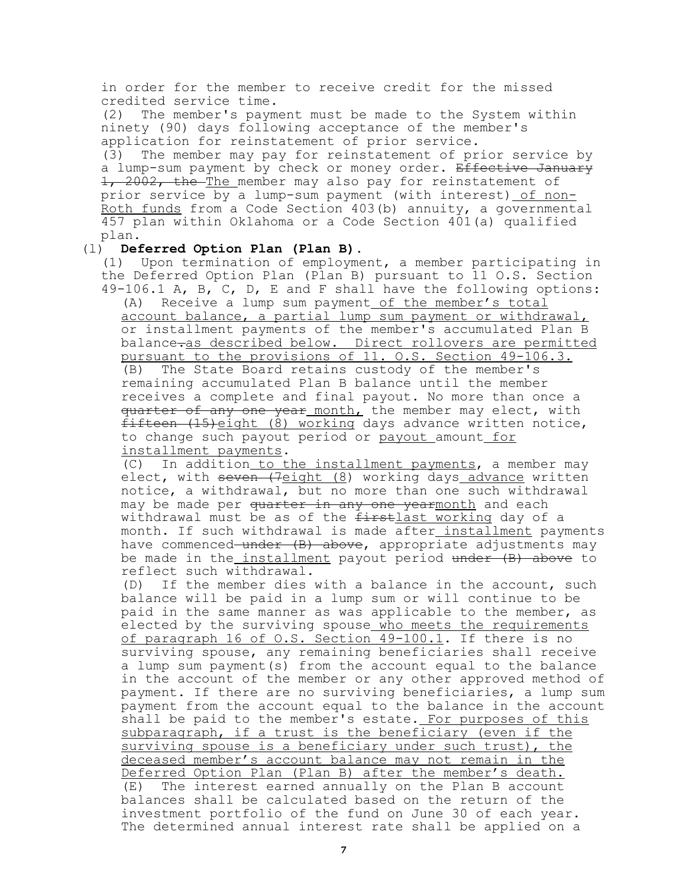in order for the member to receive credit for the missed credited service time.

(2) The member's payment must be made to the System within ninety (90) days following acceptance of the member's application for reinstatement of prior service.

(3) The member may pay for reinstatement of prior service by a lump-sum payment by check or money order. Effective January 1, 2002, the The member may also pay for reinstatement of prior service by a lump-sum payment (with interest) of non-Roth funds from a Code Section 403(b) annuity, a governmental 457 plan within Oklahoma or a Code Section 401(a) qualified plan.

## (l) **Deferred Option Plan (Plan B).**

(1) Upon termination of employment, a member participating in the Deferred Option Plan (Plan B) pursuant to 11 O.S. Section 49-106.1 A, B, C, D, E and F shall have the following options: (A) Receive a lump sum payment of the member's total account balance, a partial lump sum payment or withdrawal, or installment payments of the member's accumulated Plan B balance-as described below. Direct rollovers are permitted pursuant to the provisions of 11. O.S. Section 49-106.3. (B) The State Board retains custody of the member's remaining accumulated Plan B balance until the member receives a complete and final payout. No more than once a quarter of any one year month, the member may elect, with fifteen (15)eight (8) working days advance written notice, to change such payout period or payout amount for installment payments.

(C) In addition to the installment payments, a member may elect, with seven (7eight (8) working days advance written notice, a withdrawal, but no more than one such withdrawal may be made per quarter in any one yearmonth and each withdrawal must be as of the firstlast working day of a month. If such withdrawal is made after installment payments have commenced under  $(B)$  above, appropriate adjustments may be made in the installment payout period under (B) above to reflect such withdrawal.

(D) If the member dies with a balance in the account, such balance will be paid in a lump sum or will continue to be paid in the same manner as was applicable to the member, as elected by the surviving spouse who meets the requirements of paragraph 16 of O.S. Section 49-100.1. If there is no surviving spouse, any remaining beneficiaries shall receive a lump sum payment(s) from the account equal to the balance in the account of the member or any other approved method of payment. If there are no surviving beneficiaries, a lump sum payment from the account equal to the balance in the account shall be paid to the member's estate. For purposes of this subparagraph, if a trust is the beneficiary (even if the surviving spouse is a beneficiary under such trust), the deceased member's account balance may not remain in the Deferred Option Plan (Plan B) after the member's death. (E) The interest earned annually on the Plan B account balances shall be calculated based on the return of the investment portfolio of the fund on June 30 of each year. The determined annual interest rate shall be applied on a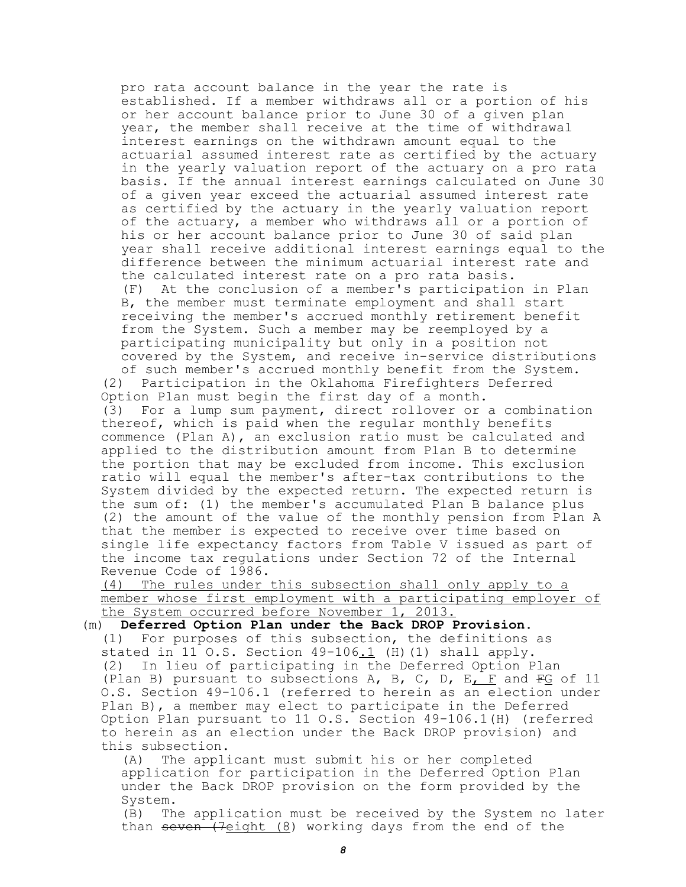pro rata account balance in the year the rate is established. If a member withdraws all or a portion of his or her account balance prior to June 30 of a given plan year, the member shall receive at the time of withdrawal interest earnings on the withdrawn amount equal to the actuarial assumed interest rate as certified by the actuary in the yearly valuation report of the actuary on a pro rata basis. If the annual interest earnings calculated on June 30 of a given year exceed the actuarial assumed interest rate as certified by the actuary in the yearly valuation report of the actuary, a member who withdraws all or a portion of his or her account balance prior to June 30 of said plan year shall receive additional interest earnings equal to the difference between the minimum actuarial interest rate and the calculated interest rate on a pro rata basis. (F) At the conclusion of a member's participation in Plan B, the member must terminate employment and shall start receiving the member's accrued monthly retirement benefit from the System. Such a member may be reemployed by a participating municipality but only in a position not covered by the System, and receive in-service distributions of such member's accrued monthly benefit from the System. (2) Participation in the Oklahoma Firefighters Deferred Option Plan must begin the first day of a month. (3) For a lump sum payment, direct rollover or a combination thereof, which is paid when the regular monthly benefits commence (Plan A), an exclusion ratio must be calculated and applied to the distribution amount from Plan B to determine the portion that may be excluded from income. This exclusion ratio will equal the member's after-tax contributions to the System divided by the expected return. The expected return is the sum of: (1) the member's accumulated Plan B balance plus (2) the amount of the value of the monthly pension from Plan A that the member is expected to receive over time based on single life expectancy factors from Table V issued as part of the income tax regulations under Section 72 of the Internal Revenue Code of 1986.

(4) The rules under this subsection shall only apply to a member whose first employment with a participating employer of the System occurred before November 1, 2013.

(m) **Deferred Option Plan under the Back DROP Provision.** (1) For purposes of this subsection, the definitions as stated in 11 O.S. Section  $49-106.1$  (H)(1) shall apply. (2) In lieu of participating in the Deferred Option Plan (Plan B) pursuant to subsections A, B, C, D, E, F and  $FG$  of 11 O.S. Section 49-106.1 (referred to herein as an election under Plan B), a member may elect to participate in the Deferred Option Plan pursuant to 11 O.S. Section 49-106.1(H) (referred to herein as an election under the Back DROP provision) and this subsection.

(A) The applicant must submit his or her completed application for participation in the Deferred Option Plan under the Back DROP provision on the form provided by the System.

(B) The application must be received by the System no later than  $seven$  ( $7$ eight  $(8)$  working days from the end of the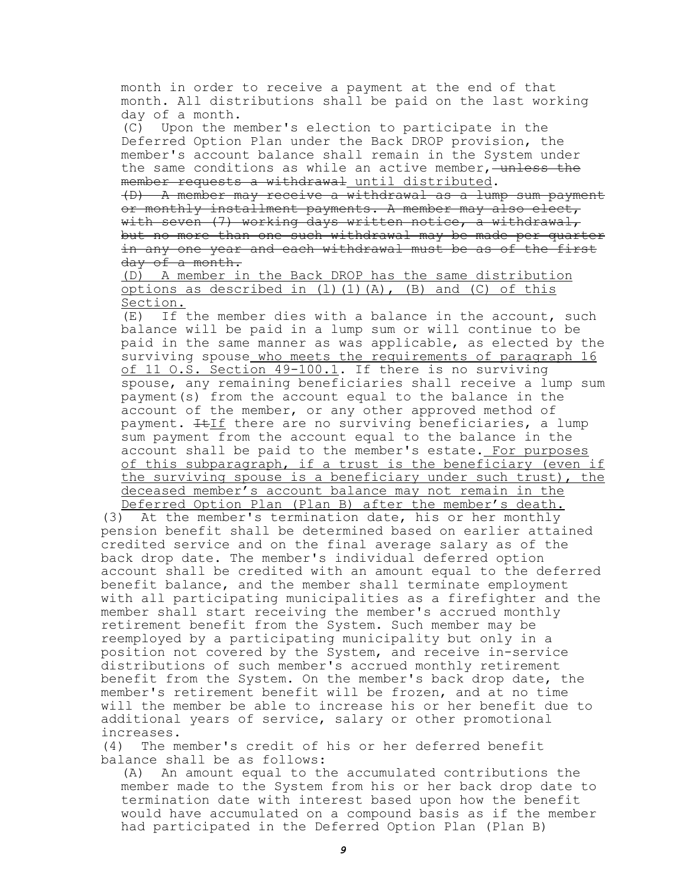month in order to receive a payment at the end of that month. All distributions shall be paid on the last working day of a month.

(C) Upon the member's election to participate in the Deferred Option Plan under the Back DROP provision, the member's account balance shall remain in the System under the same conditions as while an active member, unless the member requests a withdrawal until distributed.

(D) A member may receive a withdrawal as a lump sum payment or monthly installment payments. A member may also elect, with seven (7) working days written notice, a withdrawal, but no more than one such withdrawal may be made per quarter in any one year and each withdrawal must be as of the first day of a month.

(D) A member in the Back DROP has the same distribution options as described in  $(1)(1)(A)$ ,  $(B)$  and  $(C)$  of this Section.

(E) If the member dies with a balance in the account, such balance will be paid in a lump sum or will continue to be paid in the same manner as was applicable, as elected by the surviving spouse who meets the requirements of paragraph 16 of 11 O.S. Section 49-100.1. If there is no surviving spouse, any remaining beneficiaries shall receive a lump sum payment(s) from the account equal to the balance in the account of the member, or any other approved method of payment.  $E_{II}$  there are no surviving beneficiaries, a lump sum payment from the account equal to the balance in the account shall be paid to the member's estate. For purposes of this subparagraph, if a trust is the beneficiary (even if the surviving spouse is a beneficiary under such trust), the deceased member's account balance may not remain in the Deferred Option Plan (Plan B) after the member's death.

(3) At the member's termination date, his or her monthly pension benefit shall be determined based on earlier attained credited service and on the final average salary as of the back drop date. The member's individual deferred option account shall be credited with an amount equal to the deferred benefit balance, and the member shall terminate employment with all participating municipalities as a firefighter and the member shall start receiving the member's accrued monthly retirement benefit from the System. Such member may be reemployed by a participating municipality but only in a position not covered by the System, and receive in-service distributions of such member's accrued monthly retirement benefit from the System. On the member's back drop date, the member's retirement benefit will be frozen, and at no time will the member be able to increase his or her benefit due to additional years of service, salary or other promotional increases.

(4) The member's credit of his or her deferred benefit balance shall be as follows:

(A) An amount equal to the accumulated contributions the member made to the System from his or her back drop date to termination date with interest based upon how the benefit would have accumulated on a compound basis as if the member had participated in the Deferred Option Plan (Plan B)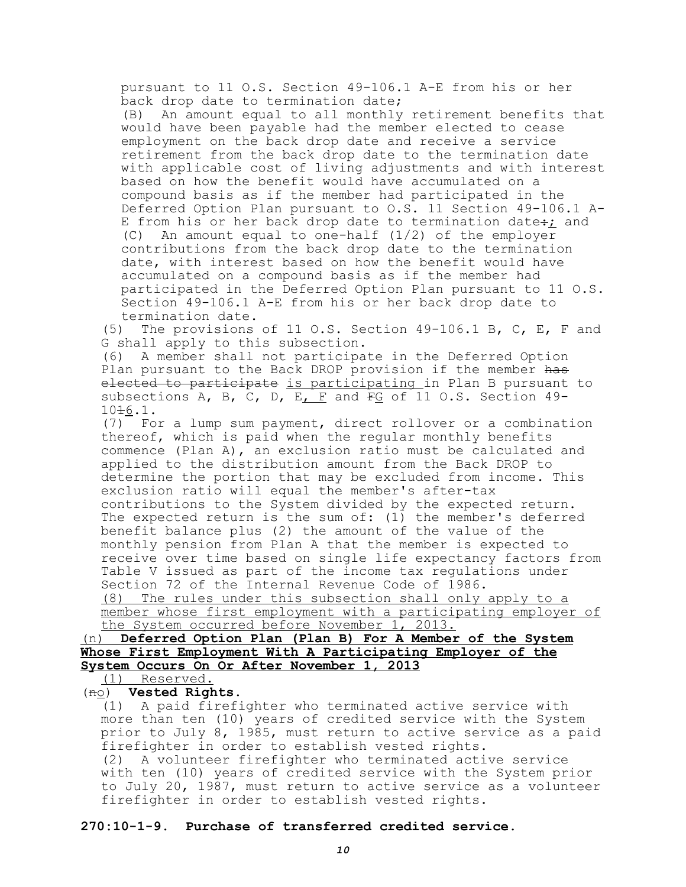pursuant to 11 O.S. Section 49-106.1 A-E from his or her back drop date to termination date;

(B) An amount equal to all monthly retirement benefits that would have been payable had the member elected to cease employment on the back drop date and receive a service retirement from the back drop date to the termination date with applicable cost of living adjustments and with interest based on how the benefit would have accumulated on a compound basis as if the member had participated in the Deferred Option Plan pursuant to O.S. 11 Section 49-106.1 A-E from his or her back drop date to termination date: and (C) An amount equal to one-half  $(1/2)$  of the employer contributions from the back drop date to the termination date, with interest based on how the benefit would have accumulated on a compound basis as if the member had participated in the Deferred Option Plan pursuant to 11 O.S. Section 49-106.1 A-E from his or her back drop date to termination date.

(5) The provisions of 11 O.S. Section 49-106.1 B, C, E, F and G shall apply to this subsection.

(6) A member shall not participate in the Deferred Option Plan pursuant to the Back DROP provision if the member has elected to participate is participating in Plan B pursuant to subsections A, B, C, D, E, F and  $FG$  of 11 O.S. Section 49-1016.1.

(7) For a lump sum payment, direct rollover or a combination thereof, which is paid when the regular monthly benefits commence (Plan A), an exclusion ratio must be calculated and applied to the distribution amount from the Back DROP to determine the portion that may be excluded from income. This exclusion ratio will equal the member's after-tax contributions to the System divided by the expected return. The expected return is the sum of: (1) the member's deferred benefit balance plus (2) the amount of the value of the monthly pension from Plan A that the member is expected to receive over time based on single life expectancy factors from Table V issued as part of the income tax regulations under Section 72 of the Internal Revenue Code of 1986.

(8) The rules under this subsection shall only apply to a member whose first employment with a participating employer of the System occurred before November 1, 2013.

(n) **Deferred Option Plan (Plan B) For A Member of the System Whose First Employment With A Participating Employer of the System Occurs On Or After November 1, 2013**

(1) Reserved.

(no) **Vested Rights.**

(1) A paid firefighter who terminated active service with more than ten (10) years of credited service with the System prior to July 8, 1985, must return to active service as a paid firefighter in order to establish vested rights. (2) A volunteer firefighter who terminated active service with ten (10) years of credited service with the System prior to July 20, 1987, must return to active service as a volunteer

firefighter in order to establish vested rights.

## **270:10-1-9. Purchase of transferred credited service.**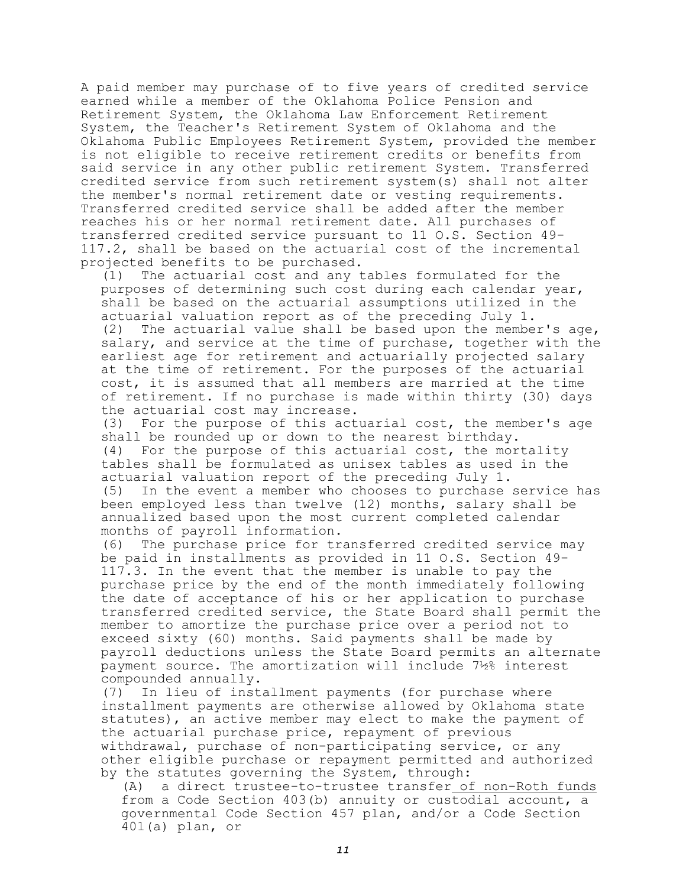A paid member may purchase of to five years of credited service earned while a member of the Oklahoma Police Pension and Retirement System, the Oklahoma Law Enforcement Retirement System, the Teacher's Retirement System of Oklahoma and the Oklahoma Public Employees Retirement System, provided the member is not eligible to receive retirement credits or benefits from said service in any other public retirement System. Transferred credited service from such retirement system(s) shall not alter the member's normal retirement date or vesting requirements. Transferred credited service shall be added after the member reaches his or her normal retirement date. All purchases of transferred credited service pursuant to 11 O.S. Section 49- 117.2, shall be based on the actuarial cost of the incremental projected benefits to be purchased.

(1) The actuarial cost and any tables formulated for the purposes of determining such cost during each calendar year, shall be based on the actuarial assumptions utilized in the actuarial valuation report as of the preceding July 1. (2) The actuarial value shall be based upon the member's age, salary, and service at the time of purchase, together with the earliest age for retirement and actuarially projected salary at the time of retirement. For the purposes of the actuarial cost, it is assumed that all members are married at the time of retirement. If no purchase is made within thirty (30) days the actuarial cost may increase.

(3) For the purpose of this actuarial cost, the member's age shall be rounded up or down to the nearest birthday. (4) For the purpose of this actuarial cost, the mortality tables shall be formulated as unisex tables as used in the actuarial valuation report of the preceding July 1. (5) In the event a member who chooses to purchase service has been employed less than twelve (12) months, salary shall be annualized based upon the most current completed calendar months of payroll information.

(6) The purchase price for transferred credited service may be paid in installments as provided in 11 O.S. Section 49- 117.3. In the event that the member is unable to pay the purchase price by the end of the month immediately following the date of acceptance of his or her application to purchase transferred credited service, the State Board shall permit the member to amortize the purchase price over a period not to exceed sixty (60) months. Said payments shall be made by payroll deductions unless the State Board permits an alternate payment source. The amortization will include 7½% interest compounded annually.

(7) In lieu of installment payments (for purchase where installment payments are otherwise allowed by Oklahoma state statutes), an active member may elect to make the payment of the actuarial purchase price, repayment of previous withdrawal, purchase of non-participating service, or any other eligible purchase or repayment permitted and authorized by the statutes governing the System, through:

(A) a direct trustee-to-trustee transfer of non-Roth funds from a Code Section 403(b) annuity or custodial account, a governmental Code Section 457 plan, and/or a Code Section 401(a) plan, or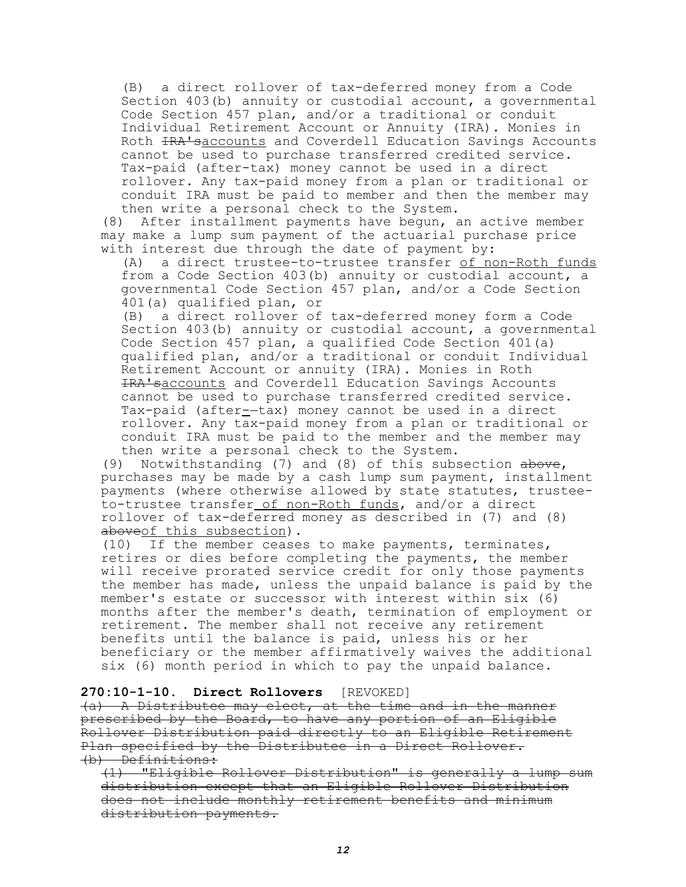(B) a direct rollover of tax-deferred money from a Code Section 403(b) annuity or custodial account, a governmental Code Section 457 plan, and/or a traditional or conduit Individual Retirement Account or Annuity (IRA). Monies in Roth IRA'saccounts and Coverdell Education Savings Accounts cannot be used to purchase transferred credited service. Tax-paid (after-tax) money cannot be used in a direct rollover. Any tax-paid money from a plan or traditional or conduit IRA must be paid to member and then the member may then write a personal check to the System.

(8) After installment payments have begun, an active member may make a lump sum payment of the actuarial purchase price with interest due through the date of payment by:

(A) a direct trustee-to-trustee transfer of non-Roth funds from a Code Section 403(b) annuity or custodial account, a governmental Code Section 457 plan, and/or a Code Section 401(a) qualified plan, or

(B) a direct rollover of tax-deferred money form a Code Section 403(b) annuity or custodial account, a governmental Code Section 457 plan, a qualified Code Section 401(a) qualified plan, and/or a traditional or conduit Individual Retirement Account or annuity (IRA). Monies in Roth IRA'saccounts and Coverdell Education Savings Accounts cannot be used to purchase transferred credited service. Tax-paid (after--tax) money cannot be used in a direct rollover. Any tax-paid money from a plan or traditional or conduit IRA must be paid to the member and the member may then write a personal check to the System.

(9) Notwithstanding  $(7)$  and  $(8)$  of this subsection above, purchases may be made by a cash lump sum payment, installment payments (where otherwise allowed by state statutes, trusteeto-trustee transfer of non-Roth funds, and/or a direct rollover of tax-deferred money as described in (7) and (8) aboveof this subsection).

(10) If the member ceases to make payments, terminates, retires or dies before completing the payments, the member will receive prorated service credit for only those payments the member has made, unless the unpaid balance is paid by the member's estate or successor with interest within six (6) months after the member's death, termination of employment or retirement. The member shall not receive any retirement benefits until the balance is paid, unless his or her beneficiary or the member affirmatively waives the additional six (6) month period in which to pay the unpaid balance.

## **270:10-1-10. Direct Rollovers** [REVOKED]

(a) A Distributee may elect, at the time and in the manner prescribed by the Board, to have any portion of an Eligible Rollover Distribution paid directly to an Eligible Retirement Plan specified by the Distributee in a Direct Rollover. (b) Definitions:

(1) "Eligible Rollover Distribution" is generally a lump sum distribution except that an Eligible Rollover Distribution does not include monthly retirement benefits and minimum distribution payments.